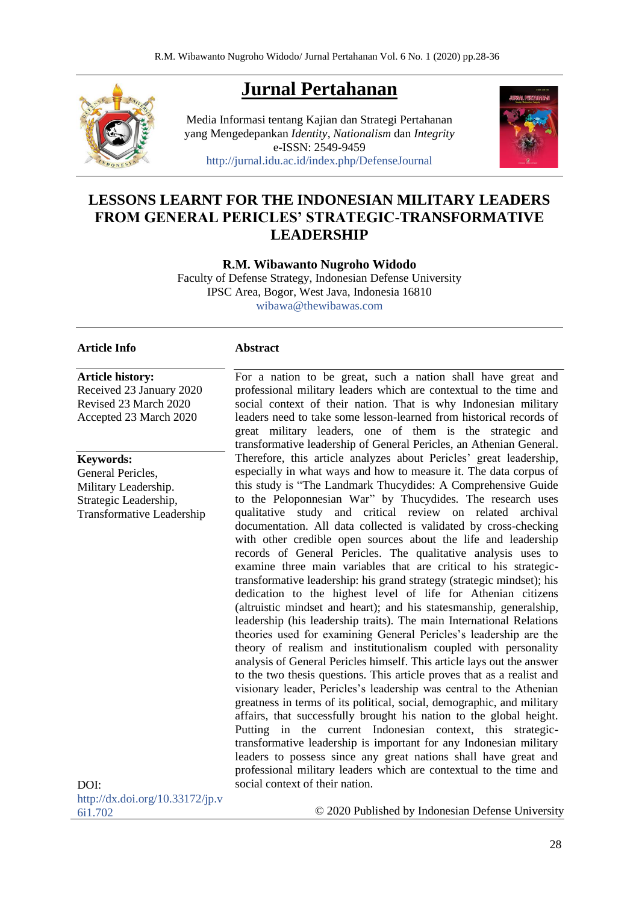

# **Jurnal Pertahanan**

Media Informasi tentang Kajian dan Strategi Pertahanan yang Mengedepankan *Identity*, *Nationalism* dan *Integrity* e-ISSN: 2549-9459 <http://jurnal.idu.ac.id/index.php/DefenseJournal>



## **LESSONS LEARNT FOR THE INDONESIAN MILITARY LEADERS FROM GENERAL PERICLES' STRATEGIC-TRANSFORMATIVE LEADERSHIP**

**R.M. Wibawanto Nugroho Widodo** Faculty of Defense Strategy, Indonesian Defense University IPSC Area, Bogor, West Java, Indonesia 16810 [wibawa@thewibawas.com](mailto:wibawa@thewibawas.com)

#### **Article Info**

#### **Article history:**

Received 23 January 2020 Revised 23 March 2020 Accepted 23 March 2020

#### **Keywords:**

General Pericles, Military Leadership. Strategic Leadership, Transformative Leadership

#### **Abstract**

For a nation to be great, such a nation shall have great and professional military leaders which are contextual to the time and social context of their nation. That is why Indonesian military leaders need to take some lesson-learned from historical records of great military leaders, one of them is the strategic and transformative leadership of General Pericles, an Athenian General. Therefore, this article analyzes about Pericles' great leadership, especially in what ways and how to measure it. The data corpus of this study is "The Landmark Thucydides: A Comprehensive Guide to the Peloponnesian War" by Thucydides*.* The research uses qualitative study and critical review on related archival documentation. All data collected is validated by cross-checking with other credible open sources about the life and leadership records of General Pericles. The qualitative analysis uses to examine three main variables that are critical to his strategictransformative leadership: his grand strategy (strategic mindset); his dedication to the highest level of life for Athenian citizens (altruistic mindset and heart); and his statesmanship, generalship, leadership (his leadership traits). The main International Relations theories used for examining General Pericles's leadership are the theory of realism and institutionalism coupled with personality analysis of General Pericles himself. This article lays out the answer to the two thesis questions. This article proves that as a realist and visionary leader, Pericles's leadership was central to the Athenian greatness in terms of its political, social, demographic, and military affairs, that successfully brought his nation to the global height. Putting in the current Indonesian context, this strategictransformative leadership is important for any Indonesian military leaders to possess since any great nations shall have great and professional military leaders which are contextual to the time and social context of their nation.

DOI: [http://dx.doi.org/10.33172/jp.v](http://dx.doi.org/10.33172/jp.v6i1.702) [6i1.702](http://dx.doi.org/10.33172/jp.v6i1.702)

© 2020 Published by Indonesian Defense University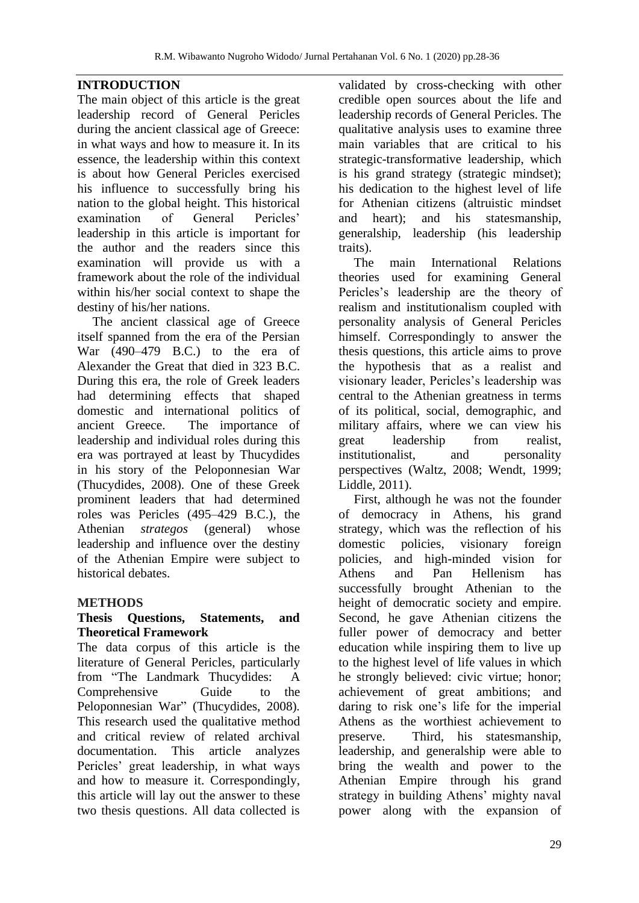## **INTRODUCTION**

The main object of this article is the great leadership record of General Pericles during the ancient classical age of Greece: in what ways and how to measure it. In its essence, the leadership within this context is about how General Pericles exercised his influence to successfully bring his nation to the global height. This historical examination of General Pericles' leadership in this article is important for the author and the readers since this examination will provide us with a framework about the role of the individual within his/her social context to shape the destiny of his/her nations.

The ancient classical age of Greece itself spanned from the era of the Persian War (490–479 B.C.) to the era of Alexander the Great that died in 323 B.C. During this era, the role of Greek leaders had determining effects that shaped domestic and international politics of ancient Greece. The importance of leadership and individual roles during this era was portrayed at least by Thucydides in his story of the Peloponnesian War (Thucydides, 2008). One of these Greek prominent leaders that had determined roles was Pericles (495–429 B.C.), the Athenian *strategos* (general) whose leadership and influence over the destiny of the Athenian Empire were subject to historical debates.

## **METHODS**

## **Thesis Questions, Statements, and Theoretical Framework**

The data corpus of this article is the literature of General Pericles, particularly from "The Landmark Thucydides: A Comprehensive Guide to the Peloponnesian War" (Thucydides, 2008)*.* This research used the qualitative method and critical review of related archival documentation. This article analyzes Pericles' great leadership, in what ways and how to measure it. Correspondingly, this article will lay out the answer to these two thesis questions. All data collected is

validated by cross-checking with other credible open sources about the life and leadership records of General Pericles. The qualitative analysis uses to examine three main variables that are critical to his strategic-transformative leadership, which is his grand strategy (strategic mindset); his dedication to the highest level of life for Athenian citizens (altruistic mindset and heart); and his statesmanship, generalship, leadership (his leadership traits).

The main International Relations theories used for examining General Pericles's leadership are the theory of realism and institutionalism coupled with personality analysis of General Pericles himself. Correspondingly to answer the thesis questions, this article aims to prove the hypothesis that as a realist and visionary leader, Pericles's leadership was central to the Athenian greatness in terms of its political, social, demographic, and military affairs, where we can view his great leadership from realist, institutionalist. and personality perspectives (Waltz, 2008; Wendt, 1999; Liddle, 2011).

First, although he was not the founder of democracy in Athens, his grand strategy, which was the reflection of his domestic policies, visionary foreign policies, and high-minded vision for Athens and Pan Hellenism has successfully brought Athenian to the height of democratic society and empire. Second, he gave Athenian citizens the fuller power of democracy and better education while inspiring them to live up to the highest level of life values in which he strongly believed: civic virtue; honor; achievement of great ambitions; and daring to risk one's life for the imperial Athens as the worthiest achievement to preserve. Third, his statesmanship, leadership, and generalship were able to bring the wealth and power to the Athenian Empire through his grand strategy in building Athens' mighty naval power along with the expansion of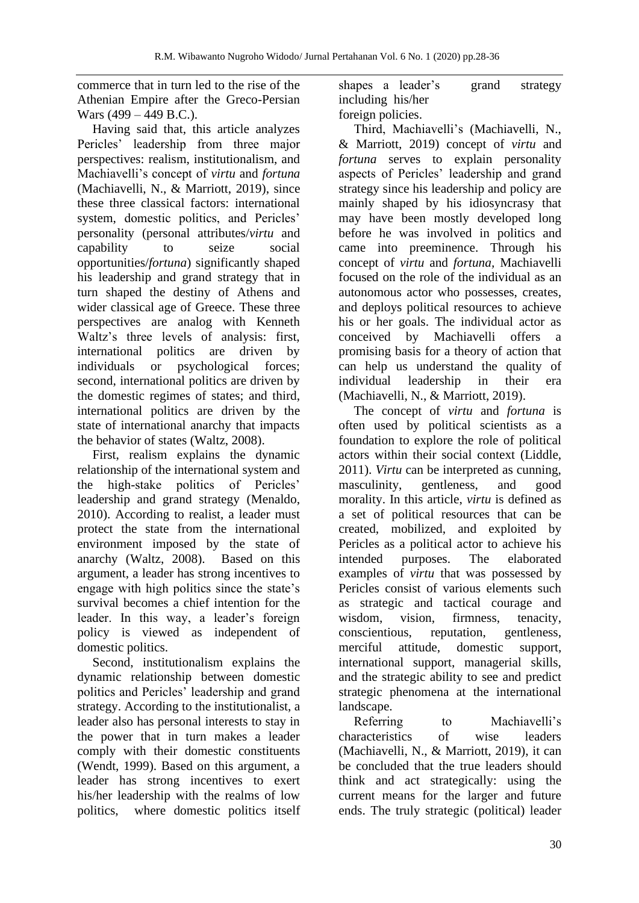commerce that in turn led to the rise of the Athenian Empire after the Greco-Persian Wars (499 – 449 B.C.).

Having said that, this article analyzes Pericles' leadership from three major perspectives: realism, institutionalism, and Machiavelli's concept of *virtu* and *fortuna* (Machiavelli, N., & Marriott, 2019), since these three classical factors: international system, domestic politics, and Pericles' personality (personal attributes/*virtu* and capability to seize social opportunities/*fortuna*) significantly shaped his leadership and grand strategy that in turn shaped the destiny of Athens and wider classical age of Greece. These three perspectives are analog with Kenneth Waltz's three levels of analysis: first, international politics are driven by individuals or psychological forces; second, international politics are driven by the domestic regimes of states; and third, international politics are driven by the state of international anarchy that impacts the behavior of states (Waltz, 2008).

First, realism explains the dynamic relationship of the international system and the high-stake politics of Pericles' leadership and grand strategy (Menaldo, 2010). According to realist, a leader must protect the state from the international environment imposed by the state of anarchy (Waltz, 2008). Based on this argument, a leader has strong incentives to engage with high politics since the state's survival becomes a chief intention for the leader. In this way, a leader's foreign policy is viewed as independent of domestic politics.

Second, institutionalism explains the dynamic relationship between domestic politics and Pericles' leadership and grand strategy. According to the institutionalist, a leader also has personal interests to stay in the power that in turn makes a leader comply with their domestic constituents (Wendt, 1999). Based on this argument, a leader has strong incentives to exert his/her leadership with the realms of low politics, where domestic politics itself shapes a leader's grand strategy including his/her foreign policies.

Third, Machiavelli's (Machiavelli, N., & Marriott, 2019) concept of *virtu* and *fortuna* serves to explain personality aspects of Pericles' leadership and grand strategy since his leadership and policy are mainly shaped by his idiosyncrasy that may have been mostly developed long before he was involved in politics and came into preeminence. Through his concept of *virtu* and *fortuna,* Machiavelli focused on the role of the individual as an autonomous actor who possesses, creates, and deploys political resources to achieve his or her goals. The individual actor as conceived by Machiavelli offers a promising basis for a theory of action that can help us understand the quality of individual leadership in their era (Machiavelli, N., & Marriott, 2019).

The concept of *virtu* and *fortuna* is often used by political scientists as a foundation to explore the role of political actors within their social context (Liddle, 2011). *Virtu* can be interpreted as cunning, masculinity, gentleness, and good morality. In this article, *virtu* is defined as a set of political resources that can be created, mobilized, and exploited by Pericles as a political actor to achieve his intended purposes. The elaborated examples of *virtu* that was possessed by Pericles consist of various elements such as strategic and tactical courage and wisdom, vision, firmness, tenacity, conscientious, reputation, gentleness, merciful attitude, domestic support, international support, managerial skills, and the strategic ability to see and predict strategic phenomena at the international landscape.

Referring to Machiavelli's characteristics of wise leaders (Machiavelli, N., & Marriott, 2019), it can be concluded that the true leaders should think and act strategically: using the current means for the larger and future ends. The truly strategic (political) leader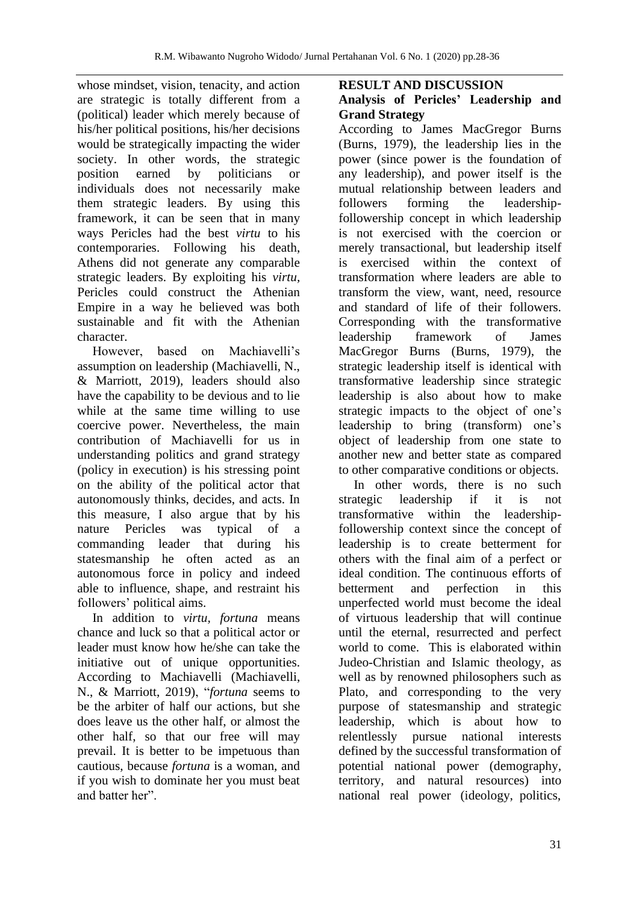whose mindset, vision, tenacity, and action are strategic is totally different from a (political) leader which merely because of his/her political positions, his/her decisions would be strategically impacting the wider society. In other words, the strategic position earned by politicians or individuals does not necessarily make them strategic leaders. By using this framework, it can be seen that in many ways Pericles had the best *virtu* to his contemporaries. Following his death, Athens did not generate any comparable strategic leaders. By exploiting his *virtu,* Pericles could construct the Athenian Empire in a way he believed was both sustainable and fit with the Athenian character.

However, based on Machiavelli's assumption on leadership (Machiavelli, N., & Marriott, 2019), leaders should also have the capability to be devious and to lie while at the same time willing to use coercive power. Nevertheless, the main contribution of Machiavelli for us in understanding politics and grand strategy (policy in execution) is his stressing point on the ability of the political actor that autonomously thinks, decides, and acts. In this measure, I also argue that by his nature Pericles was typical of a commanding leader that during his statesmanship he often acted as an autonomous force in policy and indeed able to influence, shape, and restraint his followers' political aims.

In addition to *virtu, fortuna* means chance and luck so that a political actor or leader must know how he/she can take the initiative out of unique opportunities. According to Machiavelli (Machiavelli, N., & Marriott, 2019), "*fortuna* seems to be the arbiter of half our actions, but she does leave us the other half, or almost the other half, so that our free will may prevail. It is better to be impetuous than cautious, because *fortuna* is a woman, and if you wish to dominate her you must beat and batter her".

## **RESULT AND DISCUSSION Analysis of Pericles' Leadership and Grand Strategy**

According to James MacGregor Burns (Burns, 1979), the leadership lies in the power (since power is the foundation of any leadership), and power itself is the mutual relationship between leaders and followers forming the leadershipfollowership concept in which leadership is not exercised with the coercion or merely transactional, but leadership itself is exercised within the context of transformation where leaders are able to transform the view, want, need, resource and standard of life of their followers. Corresponding with the transformative leadership framework of James MacGregor Burns (Burns, 1979), the strategic leadership itself is identical with transformative leadership since strategic leadership is also about how to make strategic impacts to the object of one's leadership to bring (transform) one's object of leadership from one state to another new and better state as compared to other comparative conditions or objects.

In other words, there is no such strategic leadership if it is not transformative within the leadershipfollowership context since the concept of leadership is to create betterment for others with the final aim of a perfect or ideal condition. The continuous efforts of betterment and perfection in this unperfected world must become the ideal of virtuous leadership that will continue until the eternal, resurrected and perfect world to come. This is elaborated within Judeo-Christian and Islamic theology, as well as by renowned philosophers such as Plato, and corresponding to the very purpose of statesmanship and strategic leadership, which is about how to relentlessly pursue national interests defined by the successful transformation of potential national power (demography, territory, and natural resources) into national real power (ideology, politics,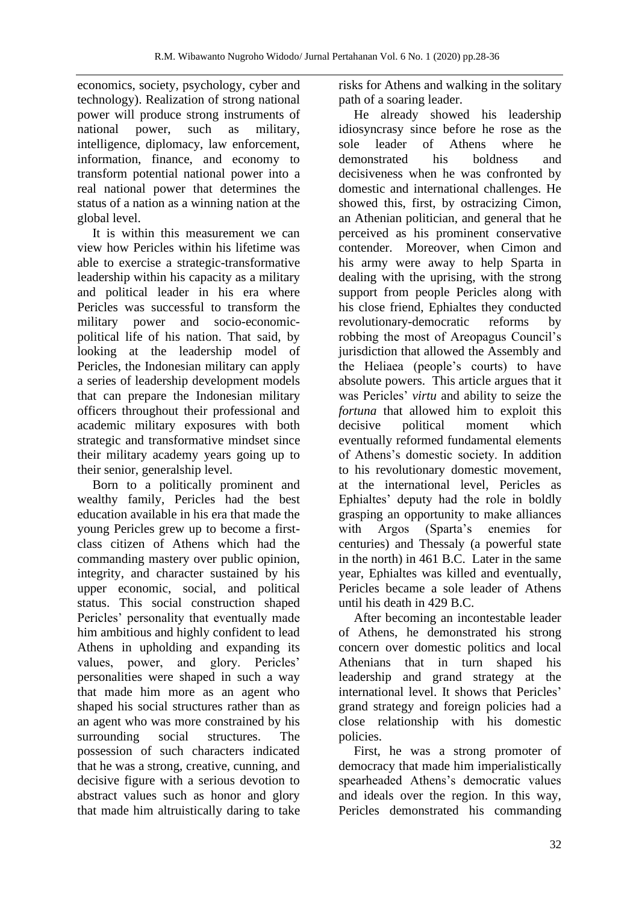economics, society, psychology, cyber and technology). Realization of strong national power will produce strong instruments of national power, such as military, intelligence, diplomacy, law enforcement, information, finance, and economy to transform potential national power into a real national power that determines the status of a nation as a winning nation at the global level.

It is within this measurement we can view how Pericles within his lifetime was able to exercise a strategic-transformative leadership within his capacity as a military and political leader in his era where Pericles was successful to transform the military power and socio-economicpolitical life of his nation. That said, by looking at the leadership model of Pericles, the Indonesian military can apply a series of leadership development models that can prepare the Indonesian military officers throughout their professional and academic military exposures with both strategic and transformative mindset since their military academy years going up to their senior, generalship level.

Born to a politically prominent and wealthy family, Pericles had the best education available in his era that made the young Pericles grew up to become a firstclass citizen of Athens which had the commanding mastery over public opinion, integrity, and character sustained by his upper economic, social, and political status. This social construction shaped Pericles' personality that eventually made him ambitious and highly confident to lead Athens in upholding and expanding its values, power, and glory. Pericles' personalities were shaped in such a way that made him more as an agent who shaped his social structures rather than as an agent who was more constrained by his surrounding social structures. The possession of such characters indicated that he was a strong, creative, cunning, and decisive figure with a serious devotion to abstract values such as honor and glory that made him altruistically daring to take

risks for Athens and walking in the solitary path of a soaring leader.

He already showed his leadership idiosyncrasy since before he rose as the sole leader of Athens where he demonstrated his boldness and decisiveness when he was confronted by domestic and international challenges. He showed this, first, by ostracizing Cimon, an Athenian politician, and general that he perceived as his prominent conservative contender. Moreover, when Cimon and his army were away to help Sparta in dealing with the uprising, with the strong support from people Pericles along with his close friend, Ephialtes they conducted revolutionary-democratic reforms by robbing the most of Areopagus Council's jurisdiction that allowed the Assembly and the Heliaea (people's courts) to have absolute powers. This article argues that it was Pericles' *virtu* and ability to seize the *fortuna* that allowed him to exploit this decisive political moment which eventually reformed fundamental elements of Athens's domestic society. In addition to his revolutionary domestic movement, at the international level, Pericles as Ephialtes' deputy had the role in boldly grasping an opportunity to make alliances with Argos (Sparta's enemies for centuries) and Thessaly (a powerful state in the north) in 461 B.C. Later in the same year, Ephialtes was killed and eventually, Pericles became a sole leader of Athens until his death in 429 B.C.

After becoming an incontestable leader of Athens, he demonstrated his strong concern over domestic politics and local Athenians that in turn shaped his leadership and grand strategy at the international level. It shows that Pericles' grand strategy and foreign policies had a close relationship with his domestic policies.

First, he was a strong promoter of democracy that made him imperialistically spearheaded Athens's democratic values and ideals over the region. In this way, Pericles demonstrated his commanding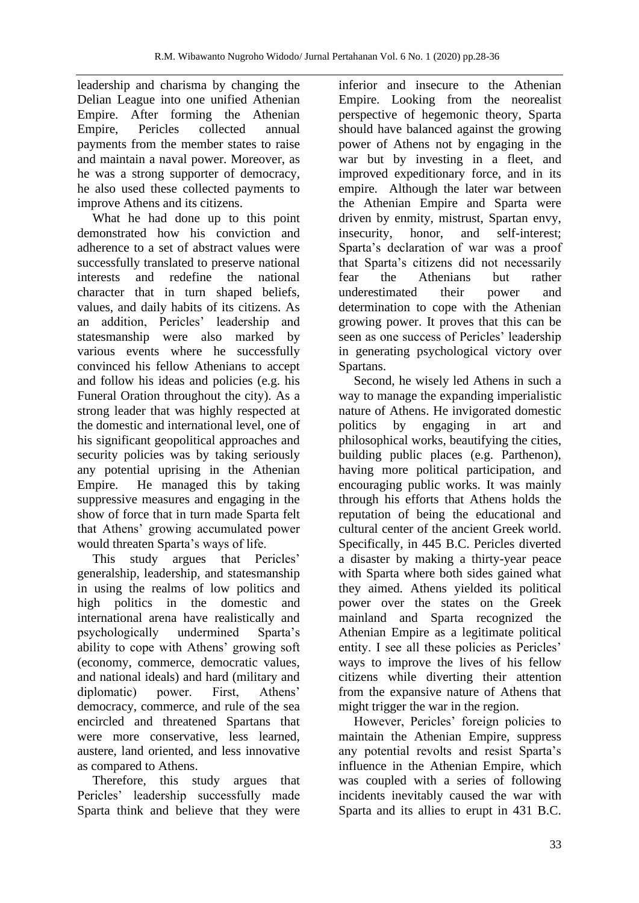leadership and charisma by changing the Delian League into one unified Athenian Empire. After forming the Athenian Empire, Pericles collected annual payments from the member states to raise and maintain a naval power. Moreover, as he was a strong supporter of democracy, he also used these collected payments to improve Athens and its citizens.

What he had done up to this point demonstrated how his conviction and adherence to a set of abstract values were successfully translated to preserve national interests and redefine the national character that in turn shaped beliefs, values, and daily habits of its citizens. As an addition, Pericles' leadership and statesmanship were also marked by various events where he successfully convinced his fellow Athenians to accept and follow his ideas and policies (e.g. his Funeral Oration throughout the city). As a strong leader that was highly respected at the domestic and international level, one of his significant geopolitical approaches and security policies was by taking seriously any potential uprising in the Athenian Empire. He managed this by taking suppressive measures and engaging in the show of force that in turn made Sparta felt that Athens' growing accumulated power would threaten Sparta's ways of life.

This study argues that Pericles' generalship, leadership, and statesmanship in using the realms of low politics and high politics in the domestic and international arena have realistically and psychologically undermined Sparta's ability to cope with Athens' growing soft (economy, commerce, democratic values, and national ideals) and hard (military and diplomatic) power. First, Athens' democracy, commerce, and rule of the sea encircled and threatened Spartans that were more conservative, less learned, austere, land oriented, and less innovative as compared to Athens.

Therefore, this study argues that Pericles' leadership successfully made Sparta think and believe that they were inferior and insecure to the Athenian Empire. Looking from the neorealist perspective of hegemonic theory, Sparta should have balanced against the growing power of Athens not by engaging in the war but by investing in a fleet, and improved expeditionary force, and in its empire. Although the later war between the Athenian Empire and Sparta were driven by enmity, mistrust, Spartan envy, insecurity, honor, and self-interest; Sparta's declaration of war was a proof that Sparta's citizens did not necessarily fear the Athenians but rather underestimated their power and determination to cope with the Athenian growing power. It proves that this can be seen as one success of Pericles' leadership in generating psychological victory over Spartans.

Second, he wisely led Athens in such a way to manage the expanding imperialistic nature of Athens. He invigorated domestic politics by engaging in art and philosophical works, beautifying the cities, building public places (e.g. Parthenon), having more political participation, and encouraging public works. It was mainly through his efforts that Athens holds the reputation of being the educational and cultural center of the ancient Greek world. Specifically, in 445 B.C. Pericles diverted a disaster by making a thirty-year peace with Sparta where both sides gained what they aimed. Athens yielded its political power over the states on the Greek mainland and Sparta recognized the Athenian Empire as a legitimate political entity. I see all these policies as Pericles' ways to improve the lives of his fellow citizens while diverting their attention from the expansive nature of Athens that might trigger the war in the region.

However, Pericles' foreign policies to maintain the Athenian Empire, suppress any potential revolts and resist Sparta's influence in the Athenian Empire, which was coupled with a series of following incidents inevitably caused the war with Sparta and its allies to erupt in 431 B.C.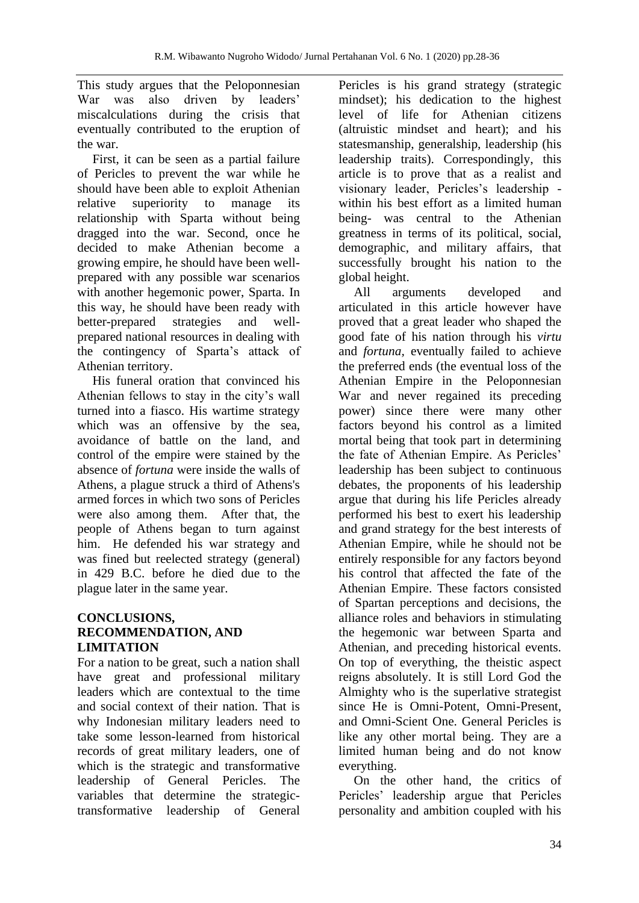This study argues that the Peloponnesian War was also driven by leaders' miscalculations during the crisis that eventually contributed to the eruption of the war.

First, it can be seen as a partial failure of Pericles to prevent the war while he should have been able to exploit Athenian relative superiority to manage its relationship with Sparta without being dragged into the war. Second, once he decided to make Athenian become a growing empire, he should have been wellprepared with any possible war scenarios with another hegemonic power, Sparta. In this way, he should have been ready with better-prepared strategies and wellprepared national resources in dealing with the contingency of Sparta's attack of Athenian territory.

His funeral oration that convinced his Athenian fellows to stay in the city's wall turned into a fiasco. His wartime strategy which was an offensive by the sea, avoidance of battle on the land, and control of the empire were stained by the absence of *fortuna* were inside the walls of Athens, a plague struck a third of Athens's armed forces in which two sons of Pericles were also among them. After that, the people of Athens began to turn against him. He defended his war strategy and was fined but reelected strategy (general) in 429 B.C. before he died due to the plague later in the same year.

## **CONCLUSIONS, RECOMMENDATION, AND LIMITATION**

For a nation to be great, such a nation shall have great and professional military leaders which are contextual to the time and social context of their nation. That is why Indonesian military leaders need to take some lesson-learned from historical records of great military leaders, one of which is the strategic and transformative leadership of General Pericles. The variables that determine the strategictransformative leadership of General Pericles is his grand strategy (strategic mindset); his dedication to the highest level of life for Athenian citizens (altruistic mindset and heart); and his statesmanship, generalship, leadership (his leadership traits). Correspondingly, this article is to prove that as a realist and visionary leader, Pericles's leadership within his best effort as a limited human being- was central to the Athenian greatness in terms of its political, social, demographic, and military affairs, that successfully brought his nation to the global height.

All arguments developed and articulated in this article however have proved that a great leader who shaped the good fate of his nation through his *virtu* and *fortuna,* eventually failed to achieve the preferred ends (the eventual loss of the Athenian Empire in the Peloponnesian War and never regained its preceding power) since there were many other factors beyond his control as a limited mortal being that took part in determining the fate of Athenian Empire. As Pericles' leadership has been subject to continuous debates, the proponents of his leadership argue that during his life Pericles already performed his best to exert his leadership and grand strategy for the best interests of Athenian Empire, while he should not be entirely responsible for any factors beyond his control that affected the fate of the Athenian Empire. These factors consisted of Spartan perceptions and decisions, the alliance roles and behaviors in stimulating the hegemonic war between Sparta and Athenian, and preceding historical events. On top of everything, the theistic aspect reigns absolutely. It is still Lord God the Almighty who is the superlative strategist since He is Omni-Potent, Omni-Present, and Omni-Scient One. General Pericles is like any other mortal being. They are a limited human being and do not know everything.

On the other hand, the critics of Pericles' leadership argue that Pericles personality and ambition coupled with his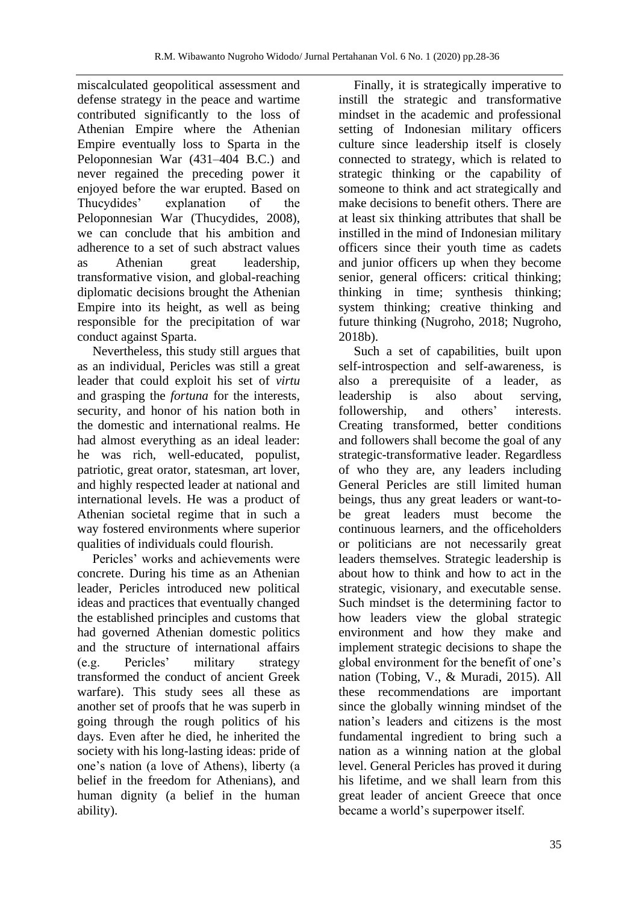miscalculated geopolitical assessment and defense strategy in the peace and wartime contributed significantly to the loss of Athenian Empire where the Athenian Empire eventually loss to Sparta in the Peloponnesian War (431–404 B.C.) and never regained the preceding power it enjoyed before the war erupted. Based on Thucydides' explanation of the Peloponnesian War (Thucydides, 2008), we can conclude that his ambition and adherence to a set of such abstract values as Athenian great leadership, transformative vision, and global-reaching diplomatic decisions brought the Athenian Empire into its height, as well as being responsible for the precipitation of war conduct against Sparta.

Nevertheless, this study still argues that as an individual, Pericles was still a great leader that could exploit his set of *virtu* and grasping the *fortuna* for the interests, security, and honor of his nation both in the domestic and international realms. He had almost everything as an ideal leader: he was rich, well-educated, populist, patriotic, great orator, statesman, art lover, and highly respected leader at national and international levels. He was a product of Athenian societal regime that in such a way fostered environments where superior qualities of individuals could flourish.

Pericles' works and achievements were concrete. During his time as an Athenian leader, Pericles introduced new political ideas and practices that eventually changed the established principles and customs that had governed Athenian domestic politics and the structure of international affairs (e.g. Pericles' military strategy transformed the conduct of ancient Greek warfare). This study sees all these as another set of proofs that he was superb in going through the rough politics of his days. Even after he died, he inherited the society with his long-lasting ideas: pride of one's nation (a love of Athens), liberty (a belief in the freedom for Athenians), and human dignity (a belief in the human ability).

Finally, it is strategically imperative to instill the strategic and transformative mindset in the academic and professional setting of Indonesian military officers culture since leadership itself is closely connected to strategy, which is related to strategic thinking or the capability of someone to think and act strategically and make decisions to benefit others. There are at least six thinking attributes that shall be instilled in the mind of Indonesian military officers since their youth time as cadets and junior officers up when they become senior, general officers: critical thinking; thinking in time; synthesis thinking; system thinking; creative thinking and future thinking (Nugroho, 2018; Nugroho, 2018b).

Such a set of capabilities, built upon self-introspection and self-awareness, is also a prerequisite of a leader, as leadership is also about serving, followership, and others' interests. Creating transformed, better conditions and followers shall become the goal of any strategic-transformative leader. Regardless of who they are, any leaders including General Pericles are still limited human beings, thus any great leaders or want-tobe great leaders must become the continuous learners, and the officeholders or politicians are not necessarily great leaders themselves. Strategic leadership is about how to think and how to act in the strategic, visionary, and executable sense. Such mindset is the determining factor to how leaders view the global strategic environment and how they make and implement strategic decisions to shape the global environment for the benefit of one's nation (Tobing, V., & Muradi, 2015). All these recommendations are important since the globally winning mindset of the nation's leaders and citizens is the most fundamental ingredient to bring such a nation as a winning nation at the global level. General Pericles has proved it during his lifetime, and we shall learn from this great leader of ancient Greece that once became a world's superpower itself.